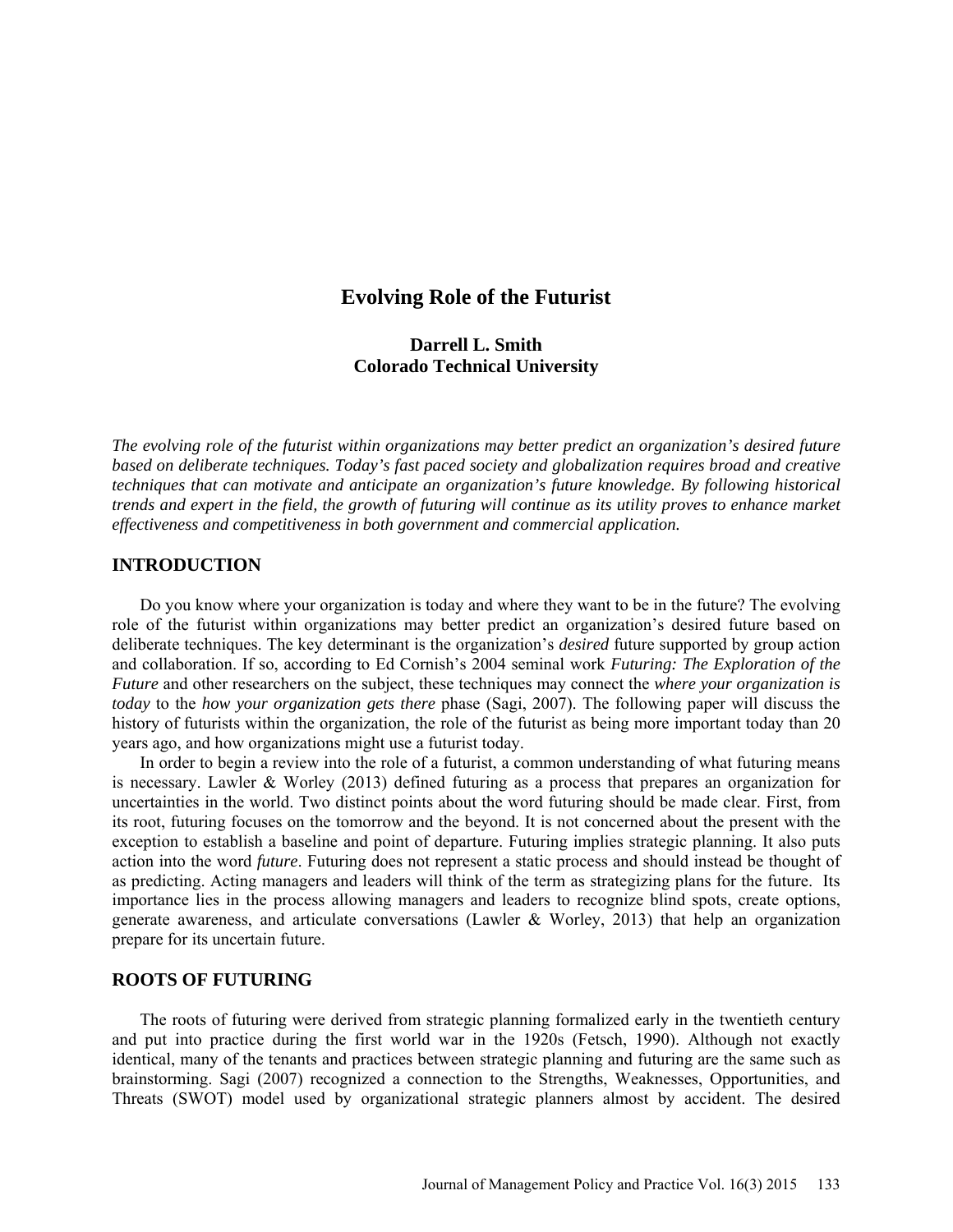# **Evolving Role of the Futurist**

## **Darrell L. Smith Colorado Technical University**

*The evolving role of the futurist within organizations may better predict an organization's desired future based on deliberate techniques. Today's fast paced society and globalization requires broad and creative techniques that can motivate and anticipate an organization's future knowledge. By following historical trends and expert in the field, the growth of futuring will continue as its utility proves to enhance market effectiveness and competitiveness in both government and commercial application.*

## **INTRODUCTION**

Do you know where your organization is today and where they want to be in the future? The evolving role of the futurist within organizations may better predict an organization's desired future based on deliberate techniques. The key determinant is the organization's *desired* future supported by group action and collaboration. If so, according to Ed Cornish's 2004 seminal work *Futuring: The Exploration of the Future* and other researchers on the subject, these techniques may connect the *where your organization is today* to the *how your organization gets there* phase (Sagi, 2007). The following paper will discuss the history of futurists within the organization, the role of the futurist as being more important today than 20 years ago, and how organizations might use a futurist today.

In order to begin a review into the role of a futurist, a common understanding of what futuring means is necessary. Lawler & Worley (2013) defined futuring as a process that prepares an organization for uncertainties in the world. Two distinct points about the word futuring should be made clear. First, from its root, futuring focuses on the tomorrow and the beyond. It is not concerned about the present with the exception to establish a baseline and point of departure. Futuring implies strategic planning. It also puts action into the word *future*. Futuring does not represent a static process and should instead be thought of as predicting. Acting managers and leaders will think of the term as strategizing plans for the future. Its importance lies in the process allowing managers and leaders to recognize blind spots, create options, generate awareness, and articulate conversations (Lawler & Worley, 2013) that help an organization prepare for its uncertain future.

## **ROOTS OF FUTURING**

The roots of futuring were derived from strategic planning formalized early in the twentieth century and put into practice during the first world war in the 1920s (Fetsch, 1990). Although not exactly identical, many of the tenants and practices between strategic planning and futuring are the same such as brainstorming. Sagi (2007) recognized a connection to the Strengths, Weaknesses, Opportunities, and Threats (SWOT) model used by organizational strategic planners almost by accident. The desired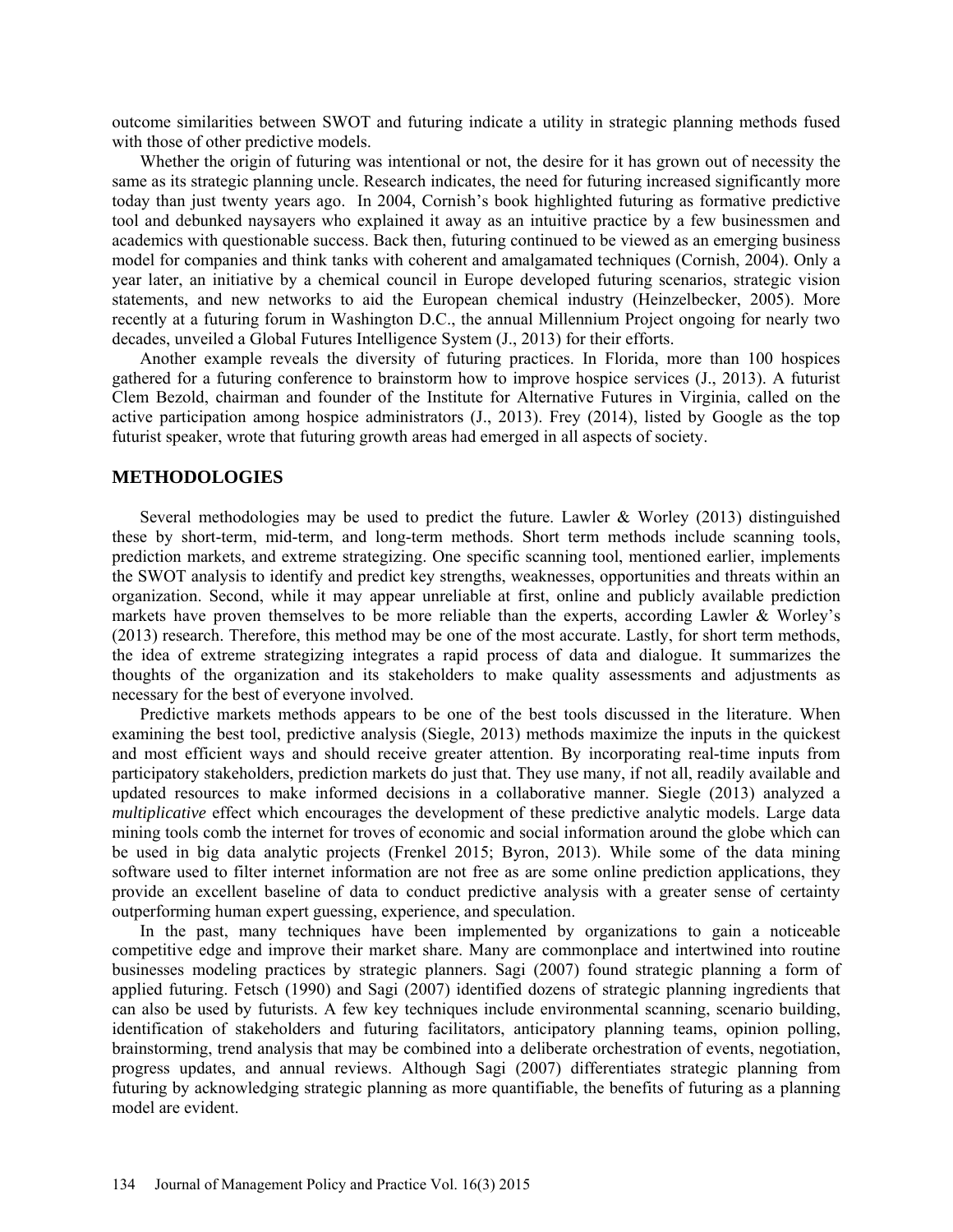outcome similarities between SWOT and futuring indicate a utility in strategic planning methods fused with those of other predictive models.

Whether the origin of futuring was intentional or not, the desire for it has grown out of necessity the same as its strategic planning uncle. Research indicates, the need for futuring increased significantly more today than just twenty years ago. In 2004, Cornish's book highlighted futuring as formative predictive tool and debunked naysayers who explained it away as an intuitive practice by a few businessmen and academics with questionable success. Back then, futuring continued to be viewed as an emerging business model for companies and think tanks with coherent and amalgamated techniques (Cornish, 2004). Only a year later, an initiative by a chemical council in Europe developed futuring scenarios, strategic vision statements, and new networks to aid the European chemical industry (Heinzelbecker, 2005). More recently at a futuring forum in Washington D.C., the annual Millennium Project ongoing for nearly two decades, unveiled a Global Futures Intelligence System (J., 2013) for their efforts.

Another example reveals the diversity of futuring practices. In Florida, more than 100 hospices gathered for a futuring conference to brainstorm how to improve hospice services (J., 2013). A futurist Clem Bezold, chairman and founder of the Institute for Alternative Futures in Virginia, called on the active participation among hospice administrators (J., 2013). Frey (2014), listed by Google as the top futurist speaker, wrote that futuring growth areas had emerged in all aspects of society.

#### **METHODOLOGIES**

Several methodologies may be used to predict the future. Lawler & Worley (2013) distinguished these by short-term, mid-term, and long-term methods. Short term methods include scanning tools, prediction markets, and extreme strategizing. One specific scanning tool, mentioned earlier, implements the SWOT analysis to identify and predict key strengths, weaknesses, opportunities and threats within an organization. Second, while it may appear unreliable at first, online and publicly available prediction markets have proven themselves to be more reliable than the experts, according Lawler & Worley's (2013) research. Therefore, this method may be one of the most accurate. Lastly, for short term methods, the idea of extreme strategizing integrates a rapid process of data and dialogue. It summarizes the thoughts of the organization and its stakeholders to make quality assessments and adjustments as necessary for the best of everyone involved.

Predictive markets methods appears to be one of the best tools discussed in the literature. When examining the best tool, predictive analysis (Siegle, 2013) methods maximize the inputs in the quickest and most efficient ways and should receive greater attention. By incorporating real-time inputs from participatory stakeholders, prediction markets do just that. They use many, if not all, readily available and updated resources to make informed decisions in a collaborative manner. Siegle (2013) analyzed a *multiplicative* effect which encourages the development of these predictive analytic models. Large data mining tools comb the internet for troves of economic and social information around the globe which can be used in big data analytic projects (Frenkel 2015; Byron, 2013). While some of the data mining software used to filter internet information are not free as are some online prediction applications, they provide an excellent baseline of data to conduct predictive analysis with a greater sense of certainty outperforming human expert guessing, experience, and speculation.

In the past, many techniques have been implemented by organizations to gain a noticeable competitive edge and improve their market share. Many are commonplace and intertwined into routine businesses modeling practices by strategic planners. Sagi (2007) found strategic planning a form of applied futuring. Fetsch (1990) and Sagi (2007) identified dozens of strategic planning ingredients that can also be used by futurists. A few key techniques include environmental scanning, scenario building, identification of stakeholders and futuring facilitators, anticipatory planning teams, opinion polling, brainstorming, trend analysis that may be combined into a deliberate orchestration of events, negotiation, progress updates, and annual reviews. Although Sagi (2007) differentiates strategic planning from futuring by acknowledging strategic planning as more quantifiable, the benefits of futuring as a planning model are evident.